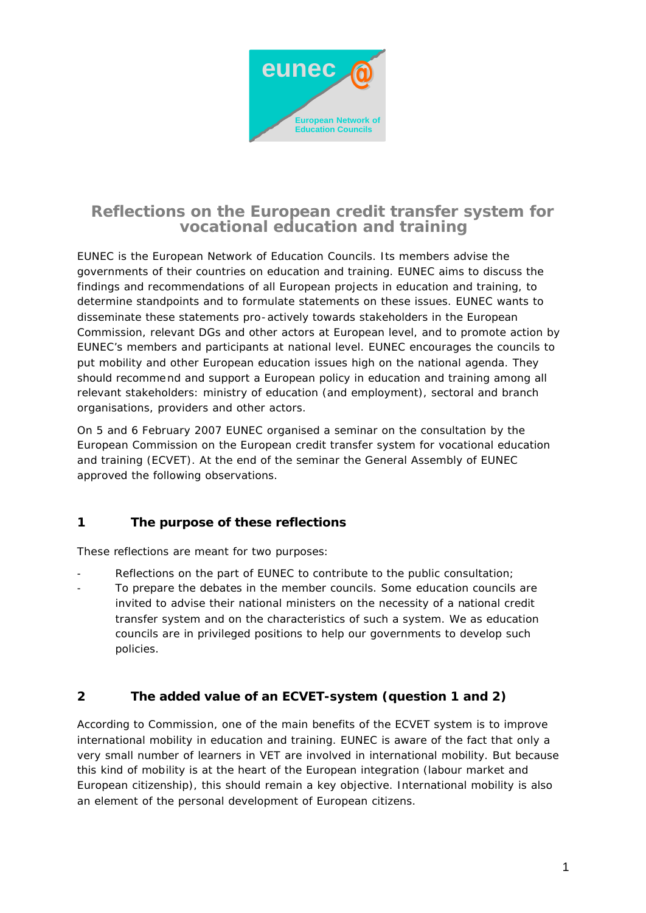

# **Reflections on the European credit transfer system for vocational education and training**

EUNEC is the European Network of Education Councils. Its members advise the governments of their countries on education and training. EUNEC aims to discuss the findings and recommendations of all European projects in education and training, to determine standpoints and to formulate statements on these issues. EUNEC wants to disseminate these statements pro-actively towards stakeholders in the European Commission, relevant DGs and other actors at European level, and to promote action by EUNEC's members and participants at national level. EUNEC encourages the councils to put mobility and other European education issues high on the national agenda. They should recommend and support a European policy in education and training among all relevant stakeholders: ministry of education (and employment), sectoral and branch organisations, providers and other actors.

On 5 and 6 February 2007 EUNEC organised a seminar on the consultation by the European Commission on the European credit transfer system for vocational education and training (ECVET). At the end of the seminar the General Assembly of EUNEC approved the following observations.

# **1 The purpose of these reflections**

These reflections are meant for two purposes:

Reflections on the part of EUNEC to contribute to the public consultation; To prepare the debates in the member councils. Some education councils are invited to advise their national ministers on the necessity of a national credit transfer system and on the characteristics of such a system. We as education councils are in privileged positions to help our governments to develop such policies.

# **2 The added value of an ECVET-system (question 1 and 2)**

According to Commission, one of the main benefits of the ECVET system is to improve international mobility in education and training. EUNEC is aware of the fact that only a very small number of learners in VET are involved in international mobility. But because this kind of mobility is at the heart of the European integration (labour market and European citizenship), this should remain a key objective. International mobility is also an element of the personal development of European citizens.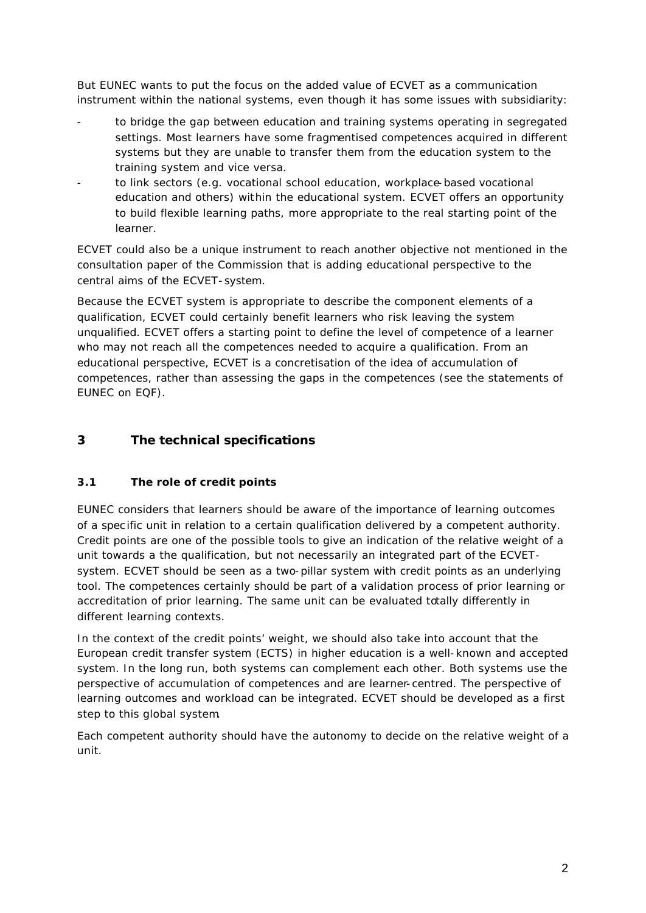But EUNEC wants to put the focus on the added value of ECVET as a communication instrument within the national systems, even though it has some issues with subsidiarity:

- to bridge the gap between education and training systems operating in segregated settings. Most learners have some fragmentised competences acquired in different systems but they are unable to transfer them from the education system to the training system and vice versa.
- to link sectors (e.g. vocational school education, workplace-based vocational education and others) within the educational system. ECVET offers an opportunity to build flexible learning paths, more appropriate to the real starting point of the learner.

ECVET could also be a unique instrument to reach another objective not mentioned in the consultation paper of the Commission that is adding educational perspective to the central aims of the ECVET-system.

Because the ECVET system is appropriate to describe the component elements of a qualification, ECVET could certainly benefit learners who risk leaving the system unqualified. ECVET offers a starting point to define the level of competence of a learner who may not reach all the competences needed to acquire a qualification. From an educational perspective, ECVET is a concretisation of the idea of accumulation of competences, rather than assessing the gaps in the competences (see the statements of EUNEC on EQF).

# **3 The technical specifications**

# **3.1 The role of credit points**

EUNEC considers that learners should be aware of the importance of learning outcomes of a spec ific unit in relation to a certain qualification delivered by a competent authority. Credit points are one of the possible tools to give an indication of the relative weight of a unit towards a the qualification, but not necessarily an integrated part of the ECVETsystem. ECVET should be seen as a two-pillar system with credit points as an underlying tool. The competences certainly should be part of a validation process of prior learning or accreditation of prior learning. The same unit can be evaluated totally differently in different learning contexts.

In the context of the credit points' weight, we should also take into account that the European credit transfer system (ECTS) in higher education is a well-known and accepted system. In the long run, both systems can complement each other. Both systems use the perspective of accumulation of competences and are learner-centred. The perspective of learning outcomes and workload can be integrated. ECVET should be developed as a first step to this global system.

Each competent authority should have the autonomy to decide on the relative weight of a unit.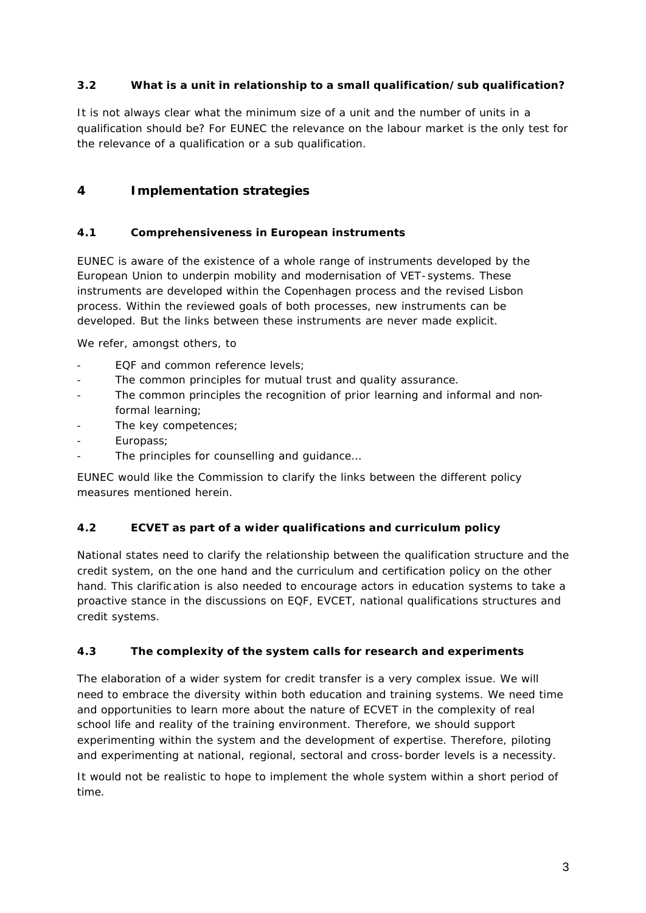### **3.2 What is a unit in relationship to a small qualification/sub qualification?**

It is not always clear what the minimum size of a unit and the number of units in a qualification should be? For EUNEC the relevance on the labour market is the only test for the relevance of a qualification or a sub qualification.

# **4 Implementation strategies**

#### **4.1 Comprehensiveness in European instruments**

EUNEC is aware of the existence of a whole range of instruments developed by the European Union to underpin mobility and modernisation of VET-systems. These instruments are developed within the Copenhagen process and the revised Lisbon process. Within the reviewed goals of both processes, new instruments can be developed. But the links between these instruments are never made explicit.

We refer, amongst others, to

- EQF and common reference levels:
- The common principles for mutual trust and quality assurance.
- The common principles the recognition of prior learning and informal and nonformal learning;
- The key competences;
- Europass;
- The principles for counselling and guidance...

EUNEC would like the Commission to clarify the links between the different policy measures mentioned herein.

#### **4.2 ECVET as part of a wider qualifications and curriculum policy**

National states need to clarify the relationship between the qualification structure and the credit system, on the one hand and the curriculum and certification policy on the other hand. This clarific ation is also needed to encourage actors in education systems to take a proactive stance in the discussions on EQF, EVCET, national qualifications structures and credit systems.

#### **4.3 The complexity of the system calls for research and experiments**

The elaboration of a wider system for credit transfer is a very complex issue. We will need to embrace the diversity within both education and training systems. We need time and opportunities to learn more about the nature of ECVET in the complexity of real school life and reality of the training environment. Therefore, we should support experimenting within the system and the development of expertise. Therefore, piloting and experimenting at national, regional, sectoral and cross-border levels is a necessity.

It would not be realistic to hope to implement the whole system within a short period of time.